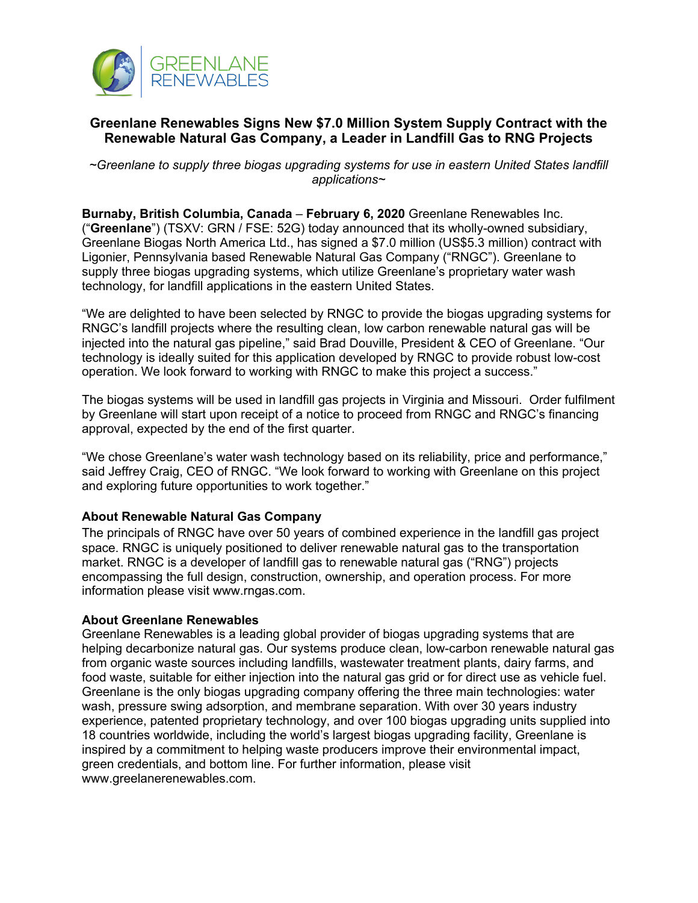

## **Greenlane Renewables Signs New \$7.0 Million System Supply Contract with the Renewable Natural Gas Company, a Leader in Landfill Gas to RNG Projects**

*~Greenlane to supply three biogas upgrading systems for use in eastern United States landfill applications~*

**Burnaby, British Columbia, Canada** – **February 6, 2020** Greenlane Renewables Inc. ("**Greenlane**") (TSXV: GRN / FSE: 52G) today announced that its wholly-owned subsidiary, Greenlane Biogas North America Ltd., has signed a \$7.0 million (US\$5.3 million) contract with Ligonier, Pennsylvania based Renewable Natural Gas Company ("RNGC"). Greenlane to supply three biogas upgrading systems, which utilize Greenlane's proprietary water wash technology, for landfill applications in the eastern United States.

"We are delighted to have been selected by RNGC to provide the biogas upgrading systems for RNGC's landfill projects where the resulting clean, low carbon renewable natural gas will be injected into the natural gas pipeline," said Brad Douville, President & CEO of Greenlane. "Our technology is ideally suited for this application developed by RNGC to provide robust low-cost operation. We look forward to working with RNGC to make this project a success."

The biogas systems will be used in landfill gas projects in Virginia and Missouri. Order fulfilment by Greenlane will start upon receipt of a notice to proceed from RNGC and RNGC's financing approval, expected by the end of the first quarter.

"We chose Greenlane's water wash technology based on its reliability, price and performance," said Jeffrey Craig, CEO of RNGC. "We look forward to working with Greenlane on this project and exploring future opportunities to work together."

## **About Renewable Natural Gas Company**

The principals of RNGC have over 50 years of combined experience in the landfill gas project space. RNGC is uniquely positioned to deliver renewable natural gas to the transportation market. RNGC is a developer of landfill gas to renewable natural gas ("RNG") projects encompassing the full design, construction, ownership, and operation process. For more information please visit www.rngas.com.

## **About Greenlane Renewables**

Greenlane Renewables is a leading global provider of biogas upgrading systems that are helping decarbonize natural gas. Our systems produce clean, low-carbon renewable natural gas from organic waste sources including landfills, wastewater treatment plants, dairy farms, and food waste, suitable for either injection into the natural gas grid or for direct use as vehicle fuel. Greenlane is the only biogas upgrading company offering the three main technologies: water wash, pressure swing adsorption, and membrane separation. With over 30 years industry experience, patented proprietary technology, and over 100 biogas upgrading units supplied into 18 countries worldwide, including the world's largest biogas upgrading facility, Greenlane is inspired by a commitment to helping waste producers improve their environmental impact, green credentials, and bottom line. For further information, please visit www.greelanerenewables.com.